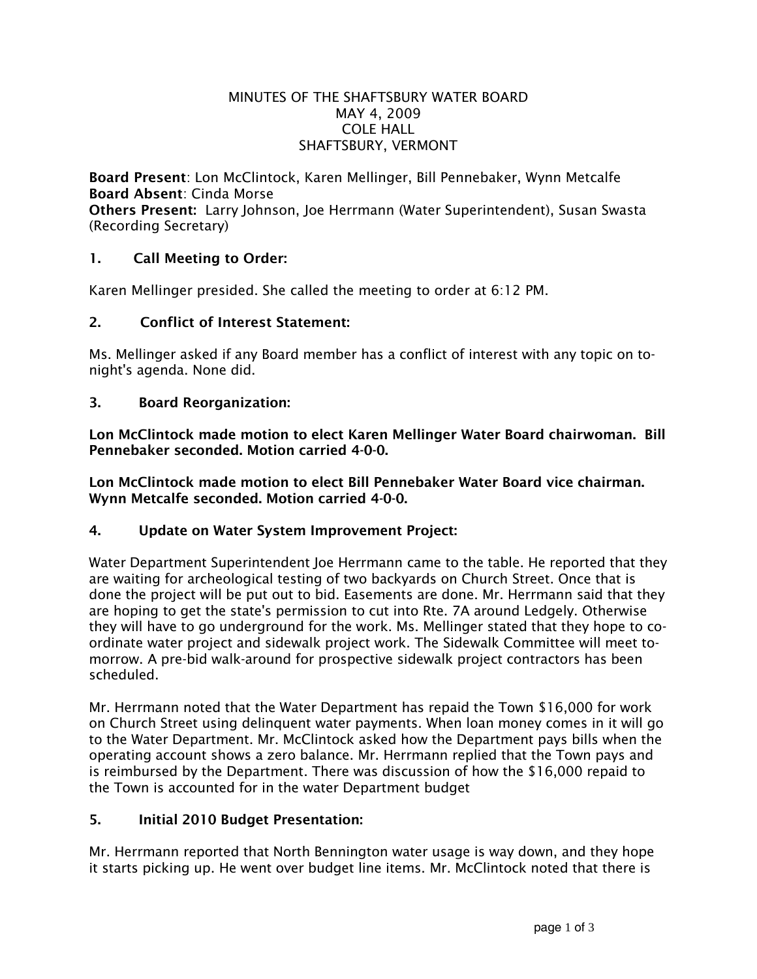#### MINUTES OF THE SHAFTSBURY WATER BOARD MAY 4, 2009 COLE HALL SHAFTSBURY, VERMONT

Board Present: Lon McClintock, Karen Mellinger, Bill Pennebaker, Wynn Metcalfe Board Absent: Cinda Morse Others Present: Larry Johnson, Joe Herrmann (Water Superintendent), Susan Swasta (Recording Secretary)

# 1. Call Meeting to Order:

Karen Mellinger presided. She called the meeting to order at 6:12 PM.

### 2. Conflict of Interest Statement:

Ms. Mellinger asked if any Board member has a conflict of interest with any topic on tonight's agenda. None did.

### 3. Board Reorganization:

Lon McClintock made motion to elect Karen Mellinger Water Board chairwoman. Bill Pennebaker seconded. Motion carried 4-0-0.

Lon McClintock made motion to elect Bill Pennebaker Water Board vice chairman. Wynn Metcalfe seconded. Motion carried 4-0-0.

### 4. Update on Water System Improvement Project:

Water Department Superintendent Joe Herrmann came to the table. He reported that they are waiting for archeological testing of two backyards on Church Street. Once that is done the project will be put out to bid. Easements are done. Mr. Herrmann said that they are hoping to get the state's permission to cut into Rte. 7A around Ledgely. Otherwise they will have to go underground for the work. Ms. Mellinger stated that they hope to coordinate water project and sidewalk project work. The Sidewalk Committee will meet tomorrow. A pre-bid walk-around for prospective sidewalk project contractors has been scheduled.

Mr. Herrmann noted that the Water Department has repaid the Town \$16,000 for work on Church Street using delinquent water payments. When loan money comes in it will go to the Water Department. Mr. McClintock asked how the Department pays bills when the operating account shows a zero balance. Mr. Herrmann replied that the Town pays and is reimbursed by the Department. There was discussion of how the \$16,000 repaid to the Town is accounted for in the water Department budget

### 5. Initial 2010 Budget Presentation:

Mr. Herrmann reported that North Bennington water usage is way down, and they hope it starts picking up. He went over budget line items. Mr. McClintock noted that there is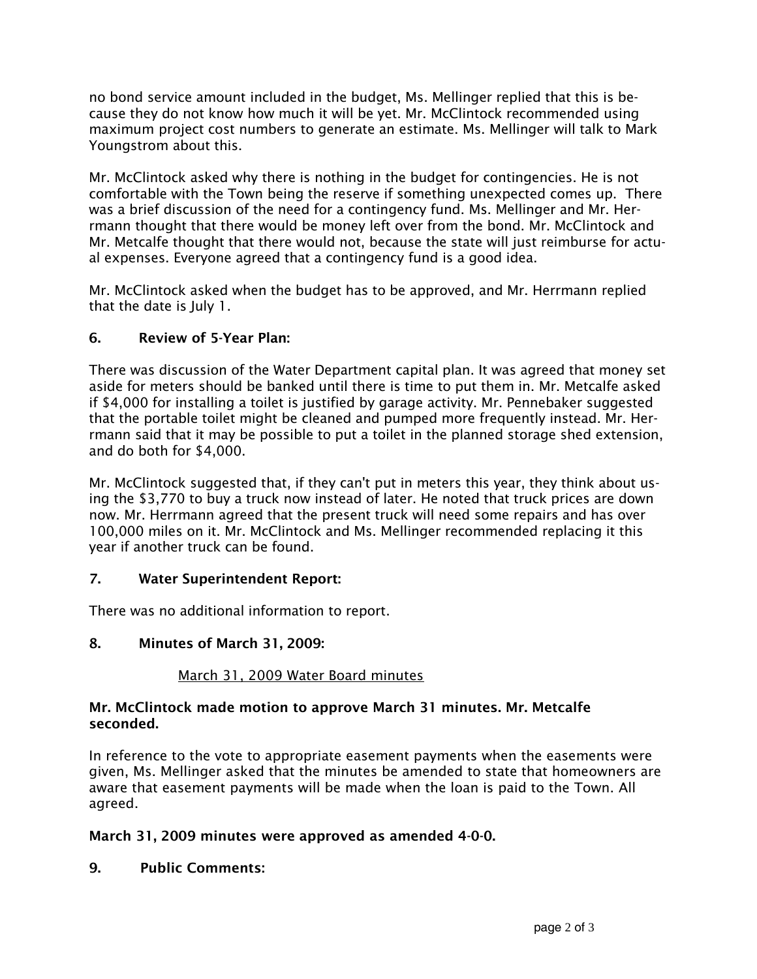no bond service amount included in the budget, Ms. Mellinger replied that this is because they do not know how much it will be yet. Mr. McClintock recommended using maximum project cost numbers to generate an estimate. Ms. Mellinger will talk to Mark Youngstrom about this.

Mr. McClintock asked why there is nothing in the budget for contingencies. He is not comfortable with the Town being the reserve if something unexpected comes up. There was a brief discussion of the need for a contingency fund. Ms. Mellinger and Mr. Herrmann thought that there would be money left over from the bond. Mr. McClintock and Mr. Metcalfe thought that there would not, because the state will just reimburse for actual expenses. Everyone agreed that a contingency fund is a good idea.

Mr. McClintock asked when the budget has to be approved, and Mr. Herrmann replied that the date is July 1.

## 6. Review of 5-Year Plan:

There was discussion of the Water Department capital plan. It was agreed that money set aside for meters should be banked until there is time to put them in. Mr. Metcalfe asked if \$4,000 for installing a toilet is justified by garage activity. Mr. Pennebaker suggested that the portable toilet might be cleaned and pumped more frequently instead. Mr. Herrmann said that it may be possible to put a toilet in the planned storage shed extension, and do both for \$4,000.

Mr. McClintock suggested that, if they can't put in meters this year, they think about using the \$3,770 to buy a truck now instead of later. He noted that truck prices are down now. Mr. Herrmann agreed that the present truck will need some repairs and has over 100,000 miles on it. Mr. McClintock and Ms. Mellinger recommended replacing it this year if another truck can be found.

### 7. Water Superintendent Report:

There was no additional information to report.

### 8. Minutes of March 31, 2009:

### March 31, 2009 Water Board minutes

### Mr. McClintock made motion to approve March 31 minutes. Mr. Metcalfe seconded.

In reference to the vote to appropriate easement payments when the easements were given, Ms. Mellinger asked that the minutes be amended to state that homeowners are aware that easement payments will be made when the loan is paid to the Town. All agreed.

### March 31, 2009 minutes were approved as amended 4-0-0.

9. Public Comments: